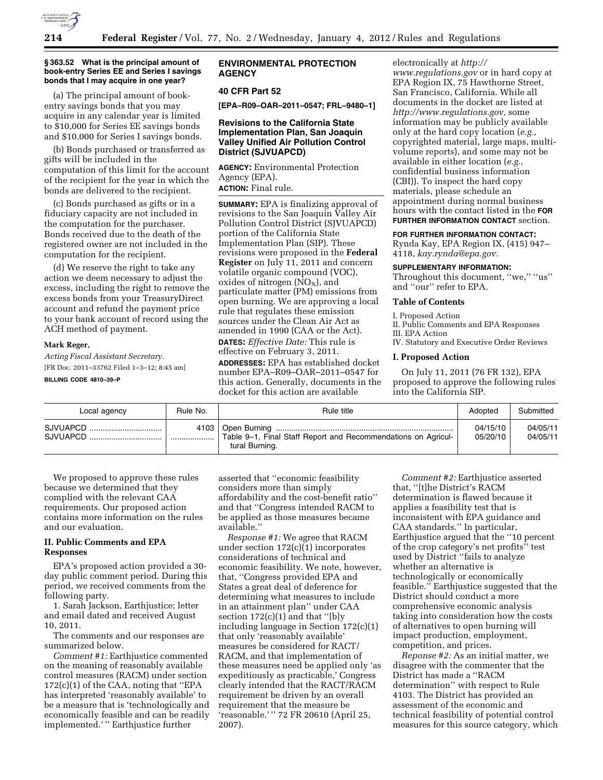

#### **§ 363.52 What is the principal amount of book-entry Series EE and Series I savings bonds that I may acquire in one year?**

(a) The principal amount of bookentry savings bonds that you may acquire in any calendar year is limited to \$10,000 for Series EE savings bonds and \$10,000 for Series I savings bonds.

(b) Bonds purchased or transferred as gifts will be included in the computation of this limit for the account of the recipient for the year in which the bonds are delivered to the recipient.

(c) Bonds purchased as gifts or in a fiduciary capacity are not included in the computation for the purchaser. Bonds received due to the death of the registered owner are not included in the computation for the recipient.

(d) We reserve the right to take any action we deem necessary to adjust the excess, including the right to remove the excess bonds from your TreasuryDirect account and refund the payment price to your bank account of record using the ACH method of payment.

#### **Mark Reger,**

*Acting Fiscal Assistant Secretary.*  [FR Doc. 2011–33762 Filed 1–3–12; 8:45 am]

**BILLING CODE 4810–39–P** 

### **ENVIRONMENTAL PROTECTION AGENCY**

### **40 CFR Part 52**

**[EPA–R09–OAR–2011–0547; FRL–9480–1]** 

### **Revisions to the California State Implementation Plan, San Joaquin Valley Unified Air Pollution Control District (SJVUAPCD)**

**AGENCY:** Environmental Protection Agency (EPA). **ACTION:** Final rule.

**SUMMARY:** EPA is finalizing approval of revisions to the San Joaquin Valley Air Pollution Control District (SJVUAPCD) portion of the California State Implementation Plan (SIP). These revisions were proposed in the **Federal Register** on July 11, 2011 and concern volatile organic compound (VOC), oxides of nitrogen  $(NO<sub>X</sub>)$ , and particulate matter (PM) emissions from open burning. We are approving a local rule that regulates these emission sources under the Clean Air Act as amended in 1990 (CAA or the Act). **DATES:** *Effective Date:* This rule is effective on February 3, 2011. **ADDRESSES:** EPA has established docket number EPA–R09–OAR–2011–0547 for this action. Generally, documents in the docket for this action are available

electronically at *[http://](http://www.regulations.gov)* 

*[www.regulations.gov](http://www.regulations.gov)* or in hard copy at EPA Region IX, 75 Hawthorne Street, San Francisco, California. While all documents in the docket are listed at *[http://www.regulations.gov,](http://www.regulations.gov)* some information may be publicly available only at the hard copy location (*e.g.,*  copyrighted material, large maps, multivolume reports), and some may not be available in either location (*e.g.,*  confidential business information (CBI)). To inspect the hard copy materials, please schedule an appointment during normal business hours with the contact listed in the **FOR FURTHER INFORMATION CONTACT** section.

#### **FOR FURTHER INFORMATION CONTACT:**

Rynda Kay, EPA Region IX, (415) 947– 4118, *[kay.rynda@epa.gov.](mailto:kay.rynda@epa.gov)* 

#### **SUPPLEMENTARY INFORMATION:**

Throughout this document, ''we,'' ''us'' and ''our'' refer to EPA.

## **Table of Contents**

I. Proposed Action II. Public Comments and EPA Responses III. EPA Action

IV. Statutory and Executive Order Reviews

### **I. Proposed Action**

On July 11, 2011 (76 FR 132), EPA proposed to approve the following rules into the California SIP.

| Local agency         | Rule No. | Rule title                                                                      | Adopted              | Submitted            |
|----------------------|----------|---------------------------------------------------------------------------------|----------------------|----------------------|
| SJVUAPCD<br>SJVUAPCD |          | Table 9-1, Final Staff Report and Recommendations on Agricul-<br>tural Burning. | 04/15/10<br>05/20/10 | 04/05/11<br>04/05/11 |

We proposed to approve these rules because we determined that they complied with the relevant CAA requirements. Our proposed action contains more information on the rules and our evaluation.

### **II. Public Comments and EPA Responses**

EPA's proposed action provided a 30 day public comment period. During this period, we received comments from the following party.

1. Sarah Jackson, Earthjustice; letter and email dated and received August 10, 2011.

The comments and our responses are summarized below.

*Comment #1:* Earthjustice commented on the meaning of reasonably available control measures (RACM) under section 172(c)(1) of the CAA, noting that ''EPA has interpreted 'reasonably available' to be a measure that is 'technologically and economically feasible and can be readily implemented.' '' Earthjustice further

asserted that ''economic feasibility considers more than simply affordability and the cost-benefit ratio'' and that ''Congress intended RACM to be applied as those measures became available.''

*Response #1:* We agree that RACM under section 172(c)(1) incorporates considerations of technical and economic feasibility. We note, however, that, ''Congress provided EPA and States a great deal of deference for determining what measures to include in an attainment plan'' under CAA section 172(c)(1) and that ''[b]y including language in Section 172(c)(1) that only 'reasonably available' measures be considered for RACT/ RACM, and that implementation of these measures need be applied only 'as expeditiously as practicable,' Congress clearly intended that the RACT/RACM requirement be driven by an overall requirement that the measure be 'reasonable.' '' 72 FR 20610 (April 25, 2007).

*Comment #2:* Earthjustice asserted that, ''[t]he District's RACM determination is flawed because it applies a feasibility test that is inconsistent with EPA guidance and CAA standards.'' In particular, Earthjustice argued that the ''10 percent of the crop category's net profits'' test used by District ''fails to analyze whether an alternative is technologically or economically feasible.'' Earthjustice suggested that the District should conduct a more comprehensive economic analysis taking into consideration how the costs of alternatives to open burning will impact production, employment, competition, and prices.

*Reponse #2:* As an initial matter, we disagree with the commenter that the District has made a ''RACM determination'' with respect to Rule 4103. The District has provided an assessment of the economic and technical feasibility of potential control measures for this source category, which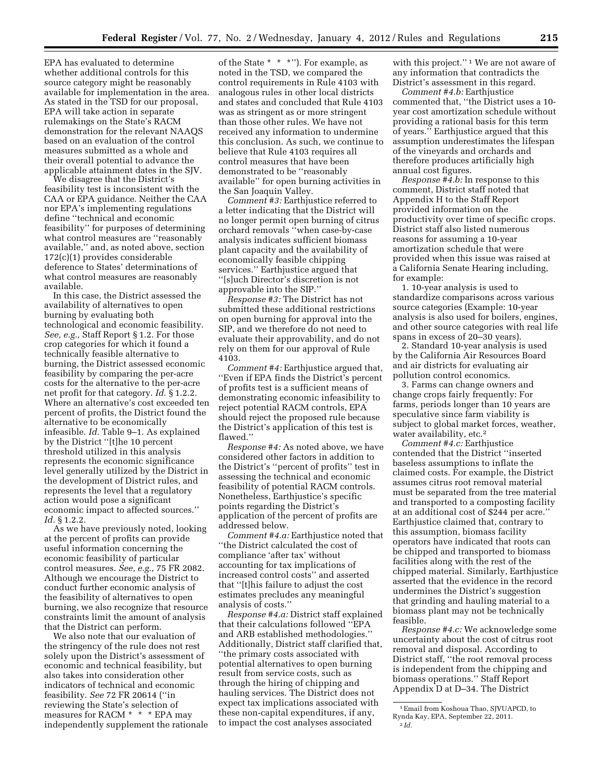EPA has evaluated to determine whether additional controls for this source category might be reasonably available for implementation in the area. As stated in the TSD for our proposal, EPA will take action in separate rulemakings on the State's RACM demonstration for the relevant NAAQS based on an evaluation of the control measures submitted as a whole and their overall potential to advance the applicable attainment dates in the SJV.

We disagree that the District's feasibility test is inconsistent with the CAA or EPA guidance. Neither the CAA nor EPA's implementing regulations define ''technical and economic feasibility'' for purposes of determining what control measures are ''reasonably available,'' and, as noted above, section 172(c)(1) provides considerable deference to States' determinations of what control measures are reasonably available.

In this case, the District assessed the availability of alternatives to open burning by evaluating both technological and economic feasibility. *See, e.g.,* Staff Report § 1.2. For those crop categories for which it found a technically feasible alternative to burning, the District assessed economic feasibility by comparing the per-acre costs for the alternative to the per-acre net profit for that category. *Id.* § 1.2.2. Where an alternative's cost exceeded ten percent of profits, the District found the alternative to be economically infeasible. *Id.* Table 9–1. As explained by the District ''[t]he 10 percent threshold utilized in this analysis represents the economic significance level generally utilized by the District in the development of District rules, and represents the level that a regulatory action would pose a significant economic impact to affected sources.'' *Id.* § 1.2.2.

As we have previously noted, looking at the percent of profits can provide useful information concerning the economic feasibility of particular control measures. *See, e.g.,* 75 FR 2082. Although we encourage the District to conduct further economic analysis of the feasibility of alternatives to open burning, we also recognize that resource constraints limit the amount of analysis that the District can perform.

We also note that our evaluation of the stringency of the rule does not rest solely upon the District's assessment of economic and technical feasibility, but also takes into consideration other indicators of technical and economic feasibility. *See* 72 FR 20614 (''in reviewing the State's selection of measures for RACM \* \* \* EPA may independently supplement the rationale

of the State \* \* \*''). For example, as noted in the TSD, we compared the control requirements in Rule 4103 with analogous rules in other local districts and states and concluded that Rule 4103 was as stringent as or more stringent than those other rules. We have not received any information to undermine this conclusion. As such, we continue to believe that Rule 4103 requires all control measures that have been demonstrated to be ''reasonably available'' for open burning activities in the San Joaquin Valley.

*Comment #3:* Earthjustice referred to a letter indicating that the District will no longer permit open burning of citrus orchard removals ''when case-by-case analysis indicates sufficient biomass plant capacity and the availability of economically feasible chipping services.'' Earthjustice argued that ''[s]uch Director's discretion is not approvable into the SIP.''

*Response #3:* The District has not submitted these additional restrictions on open burning for approval into the SIP, and we therefore do not need to evaluate their approvability, and do not rely on them for our approval of Rule 4103.

*Comment #4:* Earthjustice argued that, ''Even if EPA finds the District's percent of profits test is a sufficient means of demonstrating economic infeasibility to reject potential RACM controls, EPA should reject the proposed rule because the District's application of this test is flawed.''

*Response #4:* As noted above, we have considered other factors in addition to the District's ''percent of profits'' test in assessing the technical and economic feasibility of potential RACM controls. Nonetheless, Earthjustice's specific points regarding the District's application of the percent of profits are addressed below.

*Comment #4.a:* Earthjustice noted that ''the District calculated the cost of compliance 'after tax' without accounting for tax implications of increased control costs'' and asserted that ''[t]his failure to adjust the cost estimates precludes any meaningful analysis of costs.''

*Response #4.a:* District staff explained that their calculations followed ''EPA and ARB established methodologies.'' Additionally, District staff clarified that, ''the primary costs associated with potential alternatives to open burning result from service costs, such as through the hiring of chipping and hauling services. The District does not expect tax implications associated with these non-capital expenditures, if any, to impact the cost analyses associated

with this project."<sup>1</sup> We are not aware of any information that contradicts the District's assessment in this regard.

*Comment #4.b:* Earthjustice commented that, ''the District uses a 10 year cost amortization schedule without providing a rational basis for this term of years.'' Earthjustice argued that this assumption underestimates the lifespan of the vineyards and orchards and therefore produces artificially high annual cost figures.

*Response #4.b:* In response to this comment, District staff noted that Appendix H to the Staff Report provided information on the productivity over time of specific crops. District staff also listed numerous reasons for assuming a 10-year amortization schedule that were provided when this issue was raised at a California Senate Hearing including, for example:

1. 10-year analysis is used to standardize comparisons across various source categories (Example: 10-year analysis is also used for boilers, engines, and other source categories with real life spans in excess of 20–30 years).

2. Standard 10-year analysis is used by the California Air Resources Board and air districts for evaluating air pollution control economics.

3. Farms can change owners and change crops fairly frequently: For farms, periods longer than 10 years are speculative since farm viability is subject to global market forces, weather, water availability, etc.<sup>2</sup>

*Comment #4.c:* Earthjustice contended that the District ''inserted baseless assumptions to inflate the claimed costs. For example, the District assumes citrus root removal material must be separated from the tree material and transported to a composting facility at an additional cost of \$244 per acre.'' Earthjustice claimed that, contrary to this assumption, biomass facility operators have indicated that roots can be chipped and transported to biomass facilities along with the rest of the chipped material. Similarly, Earthjustice asserted that the evidence in the record undermines the District's suggestion that grinding and hauling material to a biomass plant may not be technically feasible.

*Response #4.c:* We acknowledge some uncertainty about the cost of citrus root removal and disposal. According to District staff, ''the root removal process is independent from the chipping and biomass operations.'' Staff Report Appendix D at D–34. The District

<sup>1</sup>Email from Koshoua Thao, SJVUAPCD, to Rynda Kay, EPA, September 22, 2011.

<sup>2</sup> *Id.*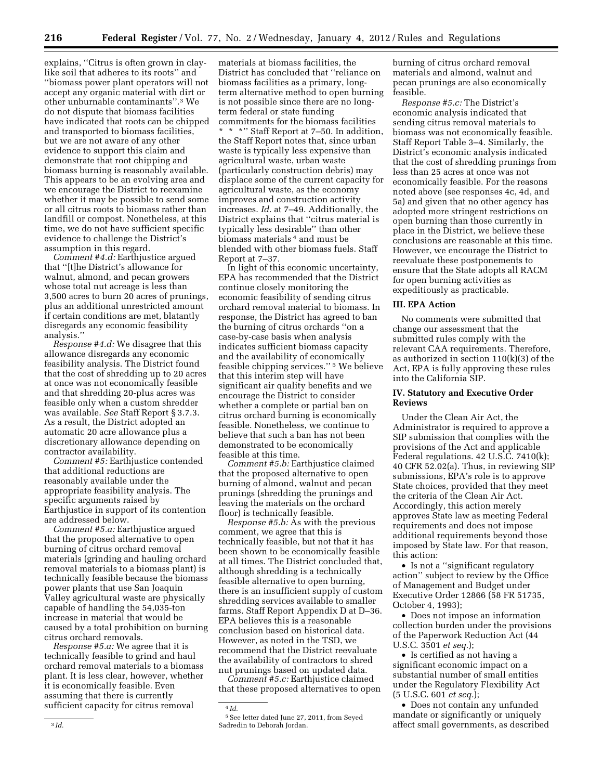explains, ''Citrus is often grown in claylike soil that adheres to its roots'' and ''biomass power plant operators will not accept any organic material with dirt or other unburnable contaminants''.3 We do not dispute that biomass facilities have indicated that roots can be chipped and transported to biomass facilities, but we are not aware of any other evidence to support this claim and demonstrate that root chipping and biomass burning is reasonably available. This appears to be an evolving area and we encourage the District to reexamine whether it may be possible to send some or all citrus roots to biomass rather than landfill or compost. Nonetheless, at this time, we do not have sufficient specific evidence to challenge the District's assumption in this regard.

*Comment #4.d:* Earthjustice argued that ''[t]he District's allowance for walnut, almond, and pecan growers whose total nut acreage is less than 3,500 acres to burn 20 acres of prunings, plus an additional unrestricted amount if certain conditions are met, blatantly disregards any economic feasibility analysis.''

*Response #4.d:* We disagree that this allowance disregards any economic feasibility analysis. The District found that the cost of shredding up to 20 acres at once was not economically feasible and that shredding 20-plus acres was feasible only when a custom shredder was available. *See* Staff Report § 3.7.3. As a result, the District adopted an automatic 20 acre allowance plus a discretionary allowance depending on contractor availability.

*Comment #5:* Earthjustice contended that additional reductions are reasonably available under the appropriate feasibility analysis. The specific arguments raised by Earthjustice in support of its contention are addressed below.

*Comment #5.a:* Earthjustice argued that the proposed alternative to open burning of citrus orchard removal materials (grinding and hauling orchard removal materials to a biomass plant) is technically feasible because the biomass power plants that use San Joaquin Valley agricultural waste are physically capable of handling the 54,035-ton increase in material that would be caused by a total prohibition on burning citrus orchard removals.

*Response #5.a:* We agree that it is technically feasible to grind and haul orchard removal materials to a biomass plant. It is less clear, however, whether it is economically feasible. Even assuming that there is currently sufficient capacity for citrus removal

materials at biomass facilities, the District has concluded that ''reliance on biomass facilities as a primary, longterm alternative method to open burning is not possible since there are no longterm federal or state funding commitments for the biomass facilities \* \* \*'' Staff Report at 7–50. In addition, the Staff Report notes that, since urban waste is typically less expensive than agricultural waste, urban waste (particularly construction debris) may displace some of the current capacity for agricultural waste, as the economy improves and construction activity increases. *Id.* at 7–49. Additionally, the District explains that ''citrus material is typically less desirable'' than other biomass materials 4 and must be blended with other biomass fuels. Staff Report at 7–37.

In light of this economic uncertainty, EPA has recommended that the District continue closely monitoring the economic feasibility of sending citrus orchard removal material to biomass. In response, the District has agreed to ban the burning of citrus orchards ''on a case-by-case basis when analysis indicates sufficient biomass capacity and the availability of economically feasible chipping services.'' 5 We believe that this interim step will have significant air quality benefits and we encourage the District to consider whether a complete or partial ban on citrus orchard burning is economically feasible. Nonetheless, we continue to believe that such a ban has not been demonstrated to be economically feasible at this time.

*Comment #5.b:* Earthjustice claimed that the proposed alternative to open burning of almond, walnut and pecan prunings (shredding the prunings and leaving the materials on the orchard floor) is technically feasible.

*Response #5.b:* As with the previous comment, we agree that this is technically feasible, but not that it has been shown to be economically feasible at all times. The District concluded that, although shredding is a technically feasible alternative to open burning, there is an insufficient supply of custom shredding services available to smaller farms. Staff Report Appendix D at D–36. EPA believes this is a reasonable conclusion based on historical data. However, as noted in the TSD, we recommend that the District reevaluate the availability of contractors to shred nut prunings based on updated data.

*Comment #5.c:* Earthjustice claimed that these proposed alternatives to open

4 *Id.* 

burning of citrus orchard removal materials and almond, walnut and pecan prunings are also economically feasible.

*Response #5.c:* The District's economic analysis indicated that sending citrus removal materials to biomass was not economically feasible. Staff Report Table 3–4. Similarly, the District's economic analysis indicated that the cost of shredding prunings from less than 25 acres at once was not economically feasible. For the reasons noted above (see responses 4c, 4d, and 5a) and given that no other agency has adopted more stringent restrictions on open burning than those currently in place in the District, we believe these conclusions are reasonable at this time. However, we encourage the District to reevaluate these postponements to ensure that the State adopts all RACM for open burning activities as expeditiously as practicable.

## **III. EPA Action**

No comments were submitted that change our assessment that the submitted rules comply with the relevant CAA requirements. Therefore, as authorized in section 110(k)(3) of the Act, EPA is fully approving these rules into the California SIP.

### **IV. Statutory and Executive Order Reviews**

Under the Clean Air Act, the Administrator is required to approve a SIP submission that complies with the provisions of the Act and applicable Federal regulations. 42 U.S.C. 7410(k); 40 CFR 52.02(a). Thus, in reviewing SIP submissions, EPA's role is to approve State choices, provided that they meet the criteria of the Clean Air Act. Accordingly, this action merely approves State law as meeting Federal requirements and does not impose additional requirements beyond those imposed by State law. For that reason, this action:

• Is not a ''significant regulatory action'' subject to review by the Office of Management and Budget under Executive Order 12866 (58 FR 51735, October 4, 1993);

• Does not impose an information collection burden under the provisions of the Paperwork Reduction Act (44 U.S.C. 3501 *et seq.*);

• Is certified as not having a significant economic impact on a substantial number of small entities under the Regulatory Flexibility Act (5 U.S.C. 601 *et seq.*);

• Does not contain any unfunded mandate or significantly or uniquely affect small governments, as described

<sup>5</sup>See letter dated June 27, 2011, from Seyed Sadredin to Deborah Jordan.